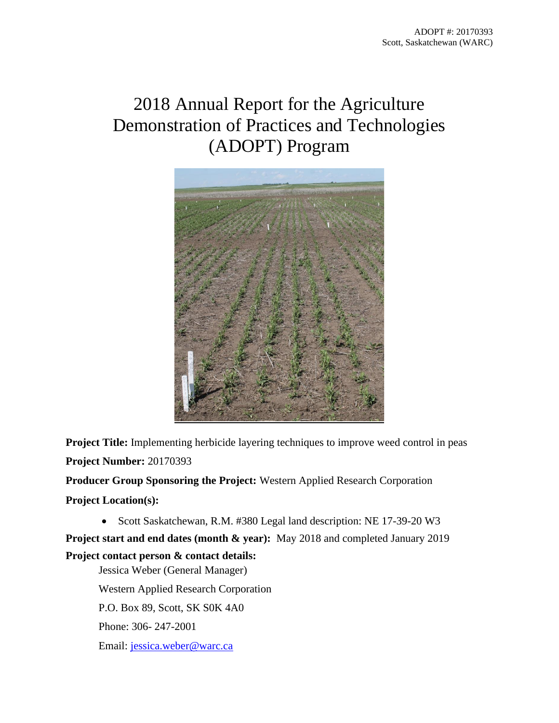# 2018 Annual Report for the Agriculture Demonstration of Practices and Technologies (ADOPT) Program



**Project Title:** Implementing herbicide layering techniques to improve weed control in peas **Project Number:** 20170393

**Producer Group Sponsoring the Project:** Western Applied Research Corporation

**Project Location(s):**

• Scott Saskatchewan, R.M. #380 Legal land description: NE 17-39-20 W3

**Project start and end dates (month & year):** May 2018 and completed January 2019 **Project contact person & contact details:** 

Jessica Weber (General Manager) Western Applied Research Corporation P.O. Box 89, Scott, SK S0K 4A0 Phone: 306- 247-2001 Email: [jessica.weber@warc.ca](mailto:jessica.weber@warc.ca)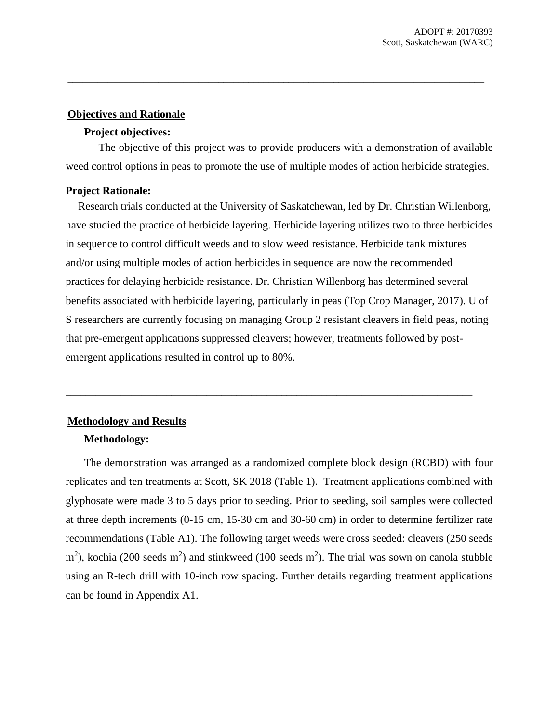#### **Objectives and Rationale**

#### **Project objectives:**

The objective of this project was to provide producers with a demonstration of available weed control options in peas to promote the use of multiple modes of action herbicide strategies.

\_\_\_\_\_\_\_\_\_\_\_\_\_\_\_\_\_\_\_\_\_\_\_\_\_\_\_\_\_\_\_\_\_\_\_\_\_\_\_\_\_\_\_\_\_\_\_\_\_\_\_\_\_\_\_\_\_\_\_\_\_\_\_\_\_\_\_\_\_\_\_\_\_\_\_\_\_\_\_\_\_\_\_

# **Project Rationale:**

Research trials conducted at the University of Saskatchewan, led by Dr. Christian Willenborg, have studied the practice of herbicide layering. Herbicide layering utilizes two to three herbicides in sequence to control difficult weeds and to slow weed resistance. Herbicide tank mixtures and/or using multiple modes of action herbicides in sequence are now the recommended practices for delaying herbicide resistance. Dr. Christian Willenborg has determined several benefits associated with herbicide layering, particularly in peas (Top Crop Manager, 2017). U of S researchers are currently focusing on managing Group 2 resistant cleavers in field peas, noting that pre-emergent applications suppressed cleavers; however, treatments followed by postemergent applications resulted in control up to 80%.

\_\_\_\_\_\_\_\_\_\_\_\_\_\_\_\_\_\_\_\_\_\_\_\_\_\_\_\_\_\_\_\_\_\_\_\_\_\_\_\_\_\_\_\_\_\_\_\_\_\_\_\_\_\_\_\_\_\_\_\_\_\_\_\_\_\_\_\_\_\_\_\_\_\_\_\_\_\_\_\_\_

# **Methodology and Results**

## **Methodology:**

The demonstration was arranged as a randomized complete block design (RCBD) with four replicates and ten treatments at Scott, SK 2018 (Table 1). Treatment applications combined with glyphosate were made 3 to 5 days prior to seeding. Prior to seeding, soil samples were collected at three depth increments (0-15 cm, 15-30 cm and 30-60 cm) in order to determine fertilizer rate recommendations (Table A1). The following target weeds were cross seeded: cleavers (250 seeds  $\text{m}^2$ ), kochia (200 seeds m<sup>2</sup>) and stinkweed (100 seeds m<sup>2</sup>). The trial was sown on canola stubble using an R-tech drill with 10-inch row spacing. Further details regarding treatment applications can be found in Appendix A1.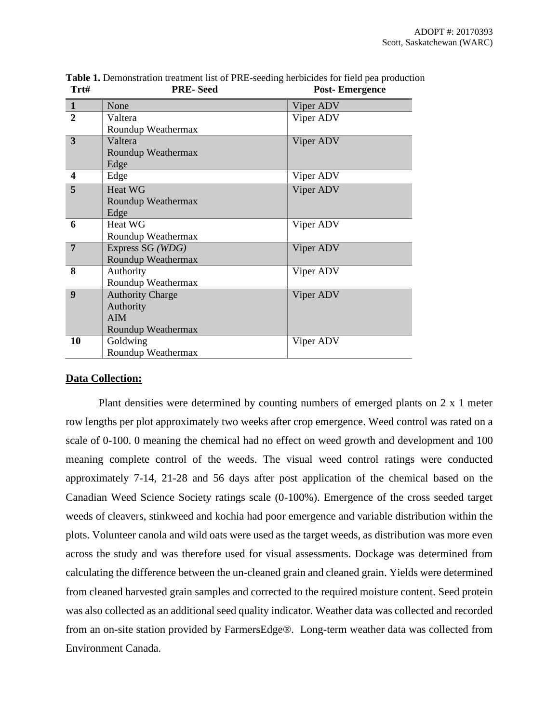| Trt#           | PRE- Seed               | <b>Post-Emergence</b> |
|----------------|-------------------------|-----------------------|
| $\mathbf{1}$   | None                    | Viper ADV             |
| $\mathbf{2}$   | Valtera                 | Viper ADV             |
|                | Roundup Weathermax      |                       |
| $\overline{3}$ | Valtera                 | Viper ADV             |
|                | Roundup Weathermax      |                       |
|                | Edge                    |                       |
| 4              | Edge                    | Viper ADV             |
| 5              | <b>Heat WG</b>          | Viper ADV             |
|                | Roundup Weathermax      |                       |
|                | Edge                    |                       |
| 6              | Heat WG                 | Viper ADV             |
|                | Roundup Weathermax      |                       |
| $\overline{7}$ | Express SG (WDG)        | Viper ADV             |
|                | Roundup Weathermax      |                       |
| 8              | Authority               | Viper ADV             |
|                | Roundup Weathermax      |                       |
| 9              | <b>Authority Charge</b> | Viper ADV             |
|                | Authority               |                       |
|                | <b>AIM</b>              |                       |
|                | Roundup Weathermax      |                       |
| 10             | Goldwing                | Viper ADV             |
|                | Roundup Weathermax      |                       |

**Table 1.** Demonstration treatment list of PRE-seeding herbicides for field pea production **Trt# PRE- Seed Post- Emergence**

## **Data Collection:**

Plant densities were determined by counting numbers of emerged plants on 2 x 1 meter row lengths per plot approximately two weeks after crop emergence. Weed control was rated on a scale of 0-100. 0 meaning the chemical had no effect on weed growth and development and 100 meaning complete control of the weeds. The visual weed control ratings were conducted approximately 7-14, 21-28 and 56 days after post application of the chemical based on the Canadian Weed Science Society ratings scale (0-100%). Emergence of the cross seeded target weeds of cleavers, stinkweed and kochia had poor emergence and variable distribution within the plots. Volunteer canola and wild oats were used as the target weeds, as distribution was more even across the study and was therefore used for visual assessments. Dockage was determined from calculating the difference between the un-cleaned grain and cleaned grain. Yields were determined from cleaned harvested grain samples and corrected to the required moisture content. Seed protein was also collected as an additional seed quality indicator. Weather data was collected and recorded from an on-site station provided by FarmersEdge®. Long-term weather data was collected from Environment Canada.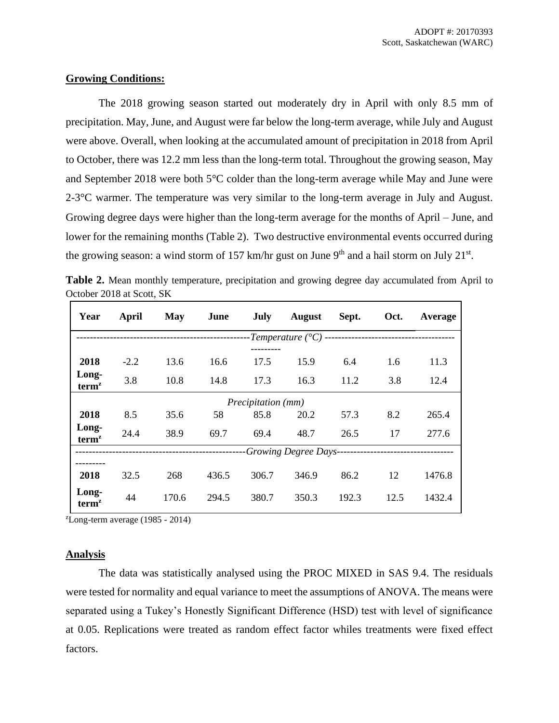## **Growing Conditions:**

The 2018 growing season started out moderately dry in April with only 8.5 mm of precipitation. May, June, and August were far below the long-term average, while July and August were above. Overall, when looking at the accumulated amount of precipitation in 2018 from April to October, there was 12.2 mm less than the long-term total. Throughout the growing season, May and September 2018 were both 5°C colder than the long-term average while May and June were  $2-3$ °C warmer. The temperature was very similar to the long-term average in July and August. Growing degree days were higher than the long-term average for the months of April – June, and lower for the remaining months (Table 2). Two destructive environmental events occurred during the growing season: a wind storm of 157 km/hr gust on June 9<sup>th</sup> and a hail storm on July 21<sup>st</sup>.

**Table 2.** Mean monthly temperature, precipitation and growing degree day accumulated from April to October 2018 at Scott, SK

| Year                       | April                                                           | May   | June  | <b>July</b> | <b>August</b> | Sept. | Oct. | Average |
|----------------------------|-----------------------------------------------------------------|-------|-------|-------------|---------------|-------|------|---------|
|                            | -Temperature ( $^{\circ}C$ ) ---------------------------------- |       |       |             |               |       |      |         |
| 2018                       | $-2.2$                                                          | 13.6  | 16.6  | 17.5        | 15.9          | 6.4   | 1.6  | 11.3    |
| Long-<br>term <sup>z</sup> | 3.8                                                             | 10.8  | 14.8  | 17.3        | 16.3          | 11.2  | 3.8  | 12.4    |
| Precipitation (mm)         |                                                                 |       |       |             |               |       |      |         |
| 2018                       | 8.5                                                             | 35.6  | 58    | 85.8        | 20.2          | 57.3  | 8.2  | 265.4   |
| Long-<br>term <sup>z</sup> | 24.4                                                            | 38.9  | 69.7  | 69.4        | 48.7          | 26.5  | 17   | 277.6   |
|                            |                                                                 |       |       |             |               |       |      |         |
| 2018                       | 32.5                                                            | 268   | 436.5 | 306.7       | 346.9         | 86.2  | 12   | 1476.8  |
| Long-<br>term <sup>z</sup> | 44                                                              | 170.6 | 294.5 | 380.7       | 350.3         | 192.3 | 12.5 | 1432.4  |

 $\text{z}$ Long-term average (1985 - 2014)

#### **Analysis**

The data was statistically analysed using the PROC MIXED in SAS 9.4. The residuals were tested for normality and equal variance to meet the assumptions of ANOVA. The means were separated using a Tukey's Honestly Significant Difference (HSD) test with level of significance at 0.05. Replications were treated as random effect factor whiles treatments were fixed effect factors.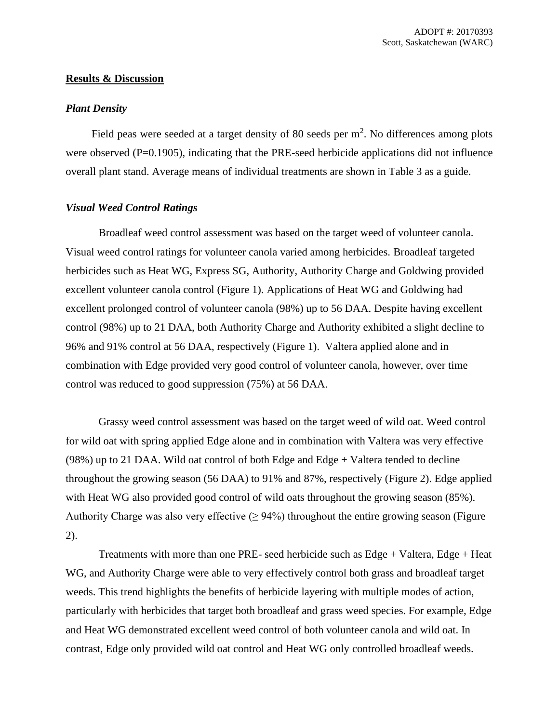## **Results & Discussion**

#### *Plant Density*

Field peas were seeded at a target density of 80 seeds per  $m<sup>2</sup>$ . No differences among plots were observed (P=0.1905), indicating that the PRE-seed herbicide applications did not influence overall plant stand. Average means of individual treatments are shown in Table 3 as a guide.

#### *Visual Weed Control Ratings*

Broadleaf weed control assessment was based on the target weed of volunteer canola. Visual weed control ratings for volunteer canola varied among herbicides. Broadleaf targeted herbicides such as Heat WG, Express SG, Authority, Authority Charge and Goldwing provided excellent volunteer canola control (Figure 1). Applications of Heat WG and Goldwing had excellent prolonged control of volunteer canola (98%) up to 56 DAA. Despite having excellent control (98%) up to 21 DAA, both Authority Charge and Authority exhibited a slight decline to 96% and 91% control at 56 DAA, respectively (Figure 1). Valtera applied alone and in combination with Edge provided very good control of volunteer canola, however, over time control was reduced to good suppression (75%) at 56 DAA.

Grassy weed control assessment was based on the target weed of wild oat. Weed control for wild oat with spring applied Edge alone and in combination with Valtera was very effective  $(98%)$  up to 21 DAA. Wild oat control of both Edge and Edge + Valtera tended to decline throughout the growing season (56 DAA) to 91% and 87%, respectively (Figure 2). Edge applied with Heat WG also provided good control of wild oats throughout the growing season (85%). Authority Charge was also very effective  $(≥ 94%)$  throughout the entire growing season (Figure 2).

Treatments with more than one PRE- seed herbicide such as Edge + Valtera, Edge + Heat WG, and Authority Charge were able to very effectively control both grass and broadleaf target weeds. This trend highlights the benefits of herbicide layering with multiple modes of action, particularly with herbicides that target both broadleaf and grass weed species. For example, Edge and Heat WG demonstrated excellent weed control of both volunteer canola and wild oat. In contrast, Edge only provided wild oat control and Heat WG only controlled broadleaf weeds.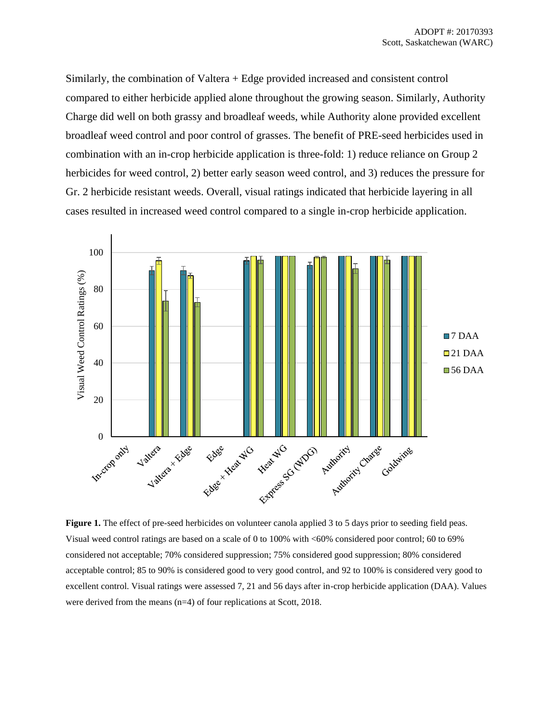Similarly, the combination of Valtera + Edge provided increased and consistent control compared to either herbicide applied alone throughout the growing season. Similarly, Authority Charge did well on both grassy and broadleaf weeds, while Authority alone provided excellent broadleaf weed control and poor control of grasses. The benefit of PRE-seed herbicides used in combination with an in-crop herbicide application is three-fold: 1) reduce reliance on Group 2 herbicides for weed control, 2) better early season weed control, and 3) reduces the pressure for Gr. 2 herbicide resistant weeds. Overall, visual ratings indicated that herbicide layering in all cases resulted in increased weed control compared to a single in-crop herbicide application.



**Figure 1.** The effect of pre-seed herbicides on volunteer canola applied 3 to 5 days prior to seeding field peas. Visual weed control ratings are based on a scale of 0 to 100% with <60% considered poor control; 60 to 69% considered not acceptable; 70% considered suppression; 75% considered good suppression; 80% considered acceptable control; 85 to 90% is considered good to very good control, and 92 to 100% is considered very good to excellent control. Visual ratings were assessed 7, 21 and 56 days after in-crop herbicide application (DAA). Values were derived from the means (n=4) of four replications at Scott, 2018.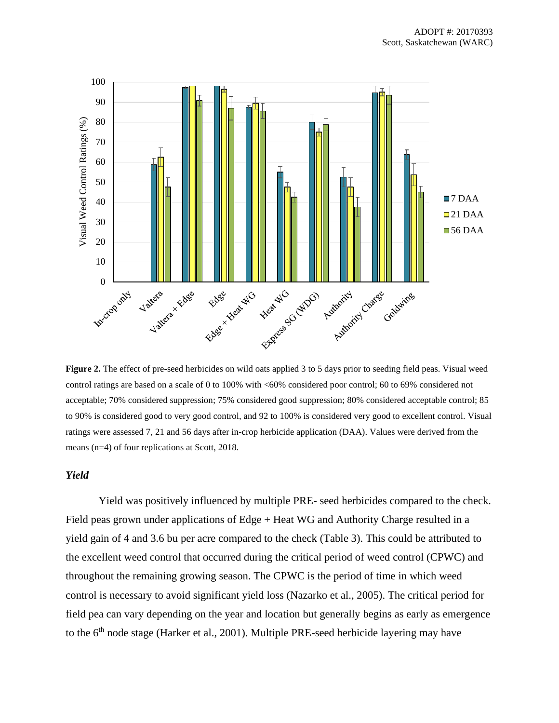

**Figure 2.** The effect of pre-seed herbicides on wild oats applied 3 to 5 days prior to seeding field peas. Visual weed control ratings are based on a scale of 0 to 100% with <60% considered poor control; 60 to 69% considered not acceptable; 70% considered suppression; 75% considered good suppression; 80% considered acceptable control; 85 to 90% is considered good to very good control, and 92 to 100% is considered very good to excellent control. Visual ratings were assessed 7, 21 and 56 days after in-crop herbicide application (DAA). Values were derived from the means (n=4) of four replications at Scott, 2018.

#### *Yield*

Yield was positively influenced by multiple PRE- seed herbicides compared to the check. Field peas grown under applications of Edge + Heat WG and Authority Charge resulted in a yield gain of 4 and 3.6 bu per acre compared to the check (Table 3). This could be attributed to the excellent weed control that occurred during the critical period of weed control (CPWC) and throughout the remaining growing season. The CPWC is the period of time in which weed control is necessary to avoid significant yield loss (Nazarko et al., 2005). The critical period for field pea can vary depending on the year and location but generally begins as early as emergence to the 6<sup>th</sup> node stage (Harker et al., 2001). Multiple PRE-seed herbicide layering may have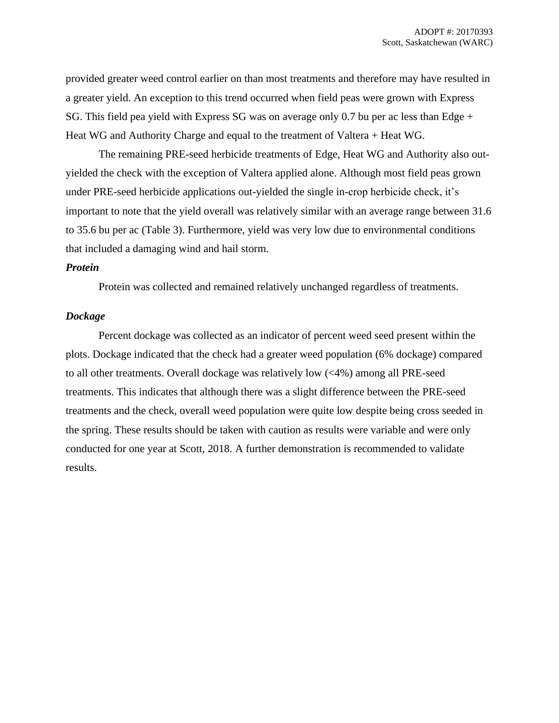provided greater weed control earlier on than most treatments and therefore may have resulted in a greater yield. An exception to this trend occurred when field peas were grown with Express SG. This field pea yield with Express SG was on average only 0.7 bu per ac less than Edge + Heat WG and Authority Charge and equal to the treatment of Valtera + Heat WG.

The remaining PRE-seed herbicide treatments of Edge, Heat WG and Authority also outyielded the check with the exception of Valtera applied alone. Although most field peas grown under PRE-seed herbicide applications out-yielded the single in-crop herbicide check, it's important to note that the yield overall was relatively similar with an average range between 31.6 to 35.6 bu per ac (Table 3). Furthermore, yield was very low due to environmental conditions that included a damaging wind and hail storm.

#### *Protein*

Protein was collected and remained relatively unchanged regardless of treatments.

#### *Dockage*

Percent dockage was collected as an indicator of percent weed seed present within the plots. Dockage indicated that the check had a greater weed population (6% dockage) compared to all other treatments. Overall dockage was relatively low (<4%) among all PRE-seed treatments. This indicates that although there was a slight difference between the PRE-seed treatments and the check, overall weed population were quite low despite being cross seeded in the spring. These results should be taken with caution as results were variable and were only conducted for one year at Scott, 2018. A further demonstration is recommended to validate results.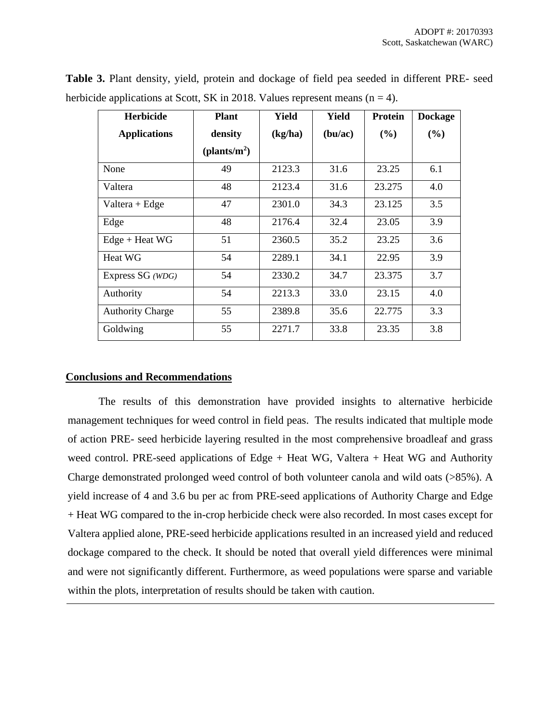| <b>Herbicide</b>        | <b>Plant</b>     | Yield   | Yield   | <b>Protein</b> | <b>Dockage</b> |
|-------------------------|------------------|---------|---------|----------------|----------------|
| <b>Applications</b>     | density          | (kg/ha) | (bu/ac) | (%)            | (%)            |
|                         | (plants/ $m^2$ ) |         |         |                |                |
| None                    | 49               | 2123.3  | 31.6    | 23.25          | 6.1            |
| Valtera                 | 48               | 2123.4  | 31.6    | 23.275         | 4.0            |
| $Valtera + Edge$        | 47               | 2301.0  | 34.3    | 23.125         | 3.5            |
| Edge                    | 48               | 2176.4  | 32.4    | 23.05          | 3.9            |
| $Edge + Heat WG$        | 51               | 2360.5  | 35.2    | 23.25          | 3.6            |
| Heat WG                 | 54               | 2289.1  | 34.1    | 22.95          | 3.9            |
| Express SG (WDG)        | 54               | 2330.2  | 34.7    | 23.375         | 3.7            |
| Authority               | 54               | 2213.3  | 33.0    | 23.15          | 4.0            |
| <b>Authority Charge</b> | 55               | 2389.8  | 35.6    | 22.775         | 3.3            |
| Goldwing                | 55               | 2271.7  | 33.8    | 23.35          | 3.8            |

**Table 3.** Plant density, yield, protein and dockage of field pea seeded in different PRE- seed herbicide applications at Scott, SK in 2018. Values represent means  $(n = 4)$ .

## **Conclusions and Recommendations**

The results of this demonstration have provided insights to alternative herbicide management techniques for weed control in field peas. The results indicated that multiple mode of action PRE- seed herbicide layering resulted in the most comprehensive broadleaf and grass weed control. PRE-seed applications of Edge + Heat WG, Valtera + Heat WG and Authority Charge demonstrated prolonged weed control of both volunteer canola and wild oats (>85%). A yield increase of 4 and 3.6 bu per ac from PRE-seed applications of Authority Charge and Edge + Heat WG compared to the in-crop herbicide check were also recorded. In most cases except for Valtera applied alone, PRE-seed herbicide applications resulted in an increased yield and reduced dockage compared to the check. It should be noted that overall yield differences were minimal and were not significantly different. Furthermore, as weed populations were sparse and variable within the plots, interpretation of results should be taken with caution.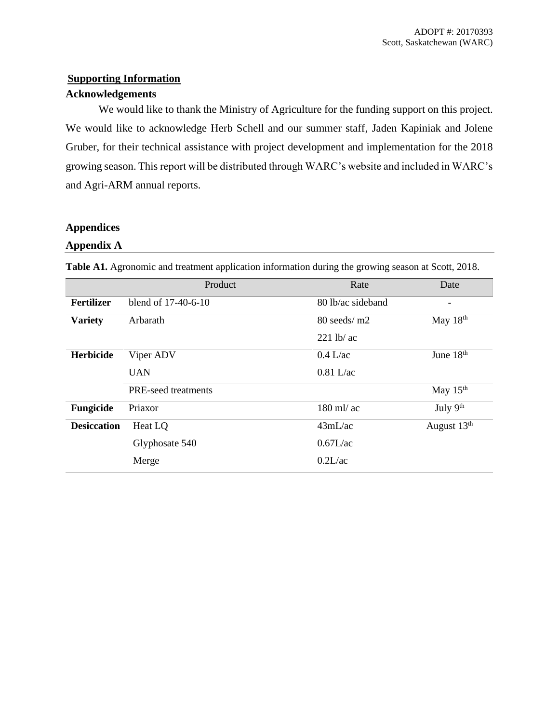# **Supporting Information**

## **Acknowledgements**

We would like to thank the Ministry of Agriculture for the funding support on this project. We would like to acknowledge Herb Schell and our summer staff, Jaden Kapiniak and Jolene Gruber, for their technical assistance with project development and implementation for the 2018 growing season. This report will be distributed through WARC's website and included in WARC's and Agri-ARM annual reports.

# **Appendices**

## **Appendix A**

|                    | Product             | Rate                      | Date                         |
|--------------------|---------------------|---------------------------|------------------------------|
| <b>Fertilizer</b>  | blend of 17-40-6-10 | 80 lb/ac sideband         | $\qquad \qquad \blacksquare$ |
| <b>Variety</b>     | Arbarath            | $80$ seeds/m <sub>2</sub> | May $18th$                   |
|                    |                     | $221$ lb/ ac              |                              |
| Herbicide          | Viper ADV           | $0.4$ L/ac                | June 18th                    |
|                    | <b>UAN</b>          | $0.81$ L/ac               |                              |
|                    | PRE-seed treatments |                           | May $15th$                   |
| Fungicide          | Priaxor             | $180$ ml/ ac              | July 9th                     |
| <b>Desiccation</b> | Heat LO             | 43mL/ac                   | August 13 <sup>th</sup>      |
|                    | Glyphosate 540      | 0.67L/ac                  |                              |
|                    | Merge               | 0.2L/ac                   |                              |

**Table A1.** Agronomic and treatment application information during the growing season at Scott, 2018.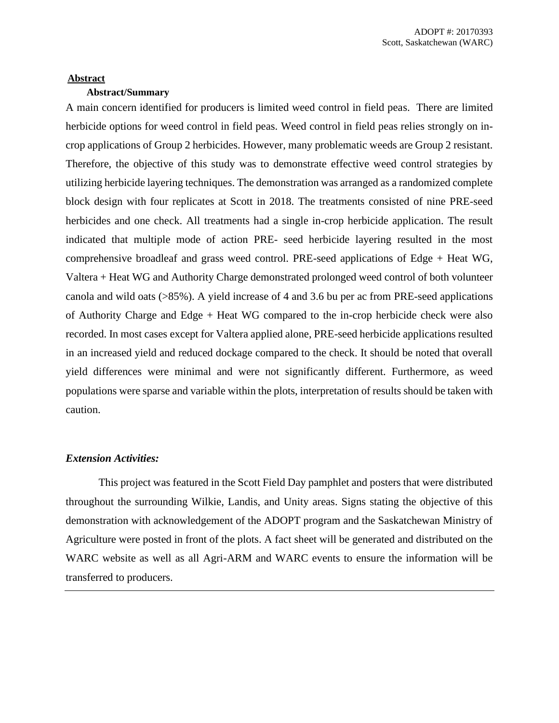#### **Abstract**

## **Abstract/Summary**

A main concern identified for producers is limited weed control in field peas. There are limited herbicide options for weed control in field peas. Weed control in field peas relies strongly on incrop applications of Group 2 herbicides. However, many problematic weeds are Group 2 resistant. Therefore, the objective of this study was to demonstrate effective weed control strategies by utilizing herbicide layering techniques. The demonstration was arranged as a randomized complete block design with four replicates at Scott in 2018. The treatments consisted of nine PRE-seed herbicides and one check. All treatments had a single in-crop herbicide application. The result indicated that multiple mode of action PRE- seed herbicide layering resulted in the most comprehensive broadleaf and grass weed control. PRE-seed applications of Edge + Heat WG, Valtera + Heat WG and Authority Charge demonstrated prolonged weed control of both volunteer canola and wild oats (>85%). A yield increase of 4 and 3.6 bu per ac from PRE-seed applications of Authority Charge and Edge + Heat WG compared to the in-crop herbicide check were also recorded. In most cases except for Valtera applied alone, PRE-seed herbicide applications resulted in an increased yield and reduced dockage compared to the check. It should be noted that overall yield differences were minimal and were not significantly different. Furthermore, as weed populations were sparse and variable within the plots, interpretation of results should be taken with caution.

#### *Extension Activities:*

This project was featured in the Scott Field Day pamphlet and posters that were distributed throughout the surrounding Wilkie, Landis, and Unity areas. Signs stating the objective of this demonstration with acknowledgement of the ADOPT program and the Saskatchewan Ministry of Agriculture were posted in front of the plots. A fact sheet will be generated and distributed on the WARC website as well as all Agri-ARM and WARC events to ensure the information will be transferred to producers.